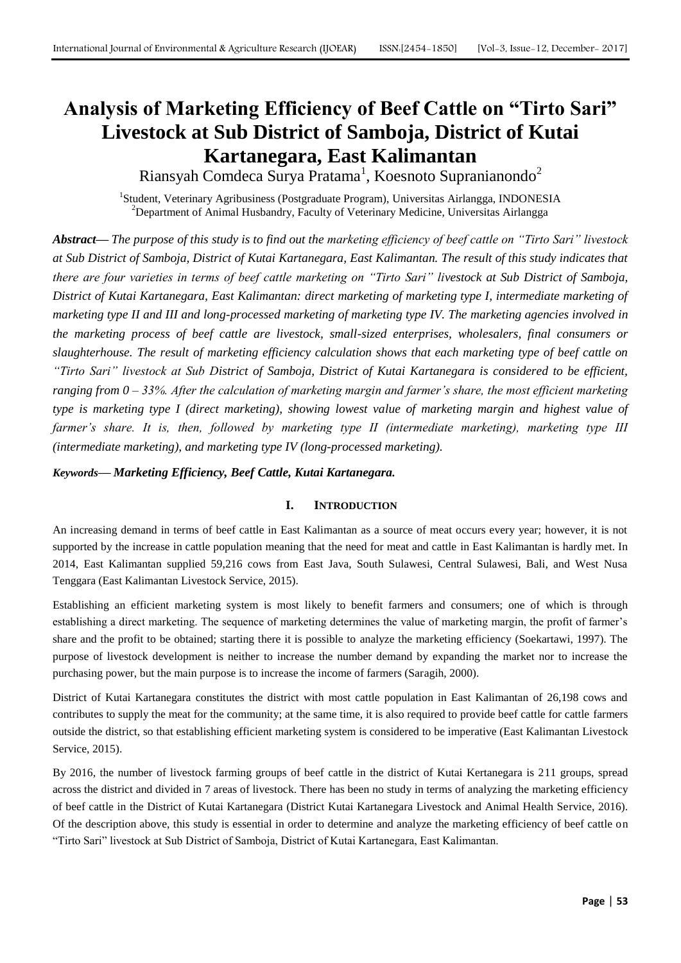# **Analysis of Marketing Efficiency of Beef Cattle on "Tirto Sari" Livestock at Sub District of Samboja, District of Kutai Kartanegara, East Kalimantan**

Riansyah Comdeca Surya Pratama $^1$ , Koesnoto Supranianondo $^2$ 

<sup>1</sup>Student, Veterinary Agribusiness (Postgraduate Program), Universitas Airlangga, INDONESIA <sup>2</sup>Department of Animal Husbandry, Faculty of Veterinary Medicine, Universitas Airlangga

*Abstract***—** *The purpose of this study is to find out the marketing efficiency of beef cattle on "Tirto Sari" livestock at Sub District of Samboja, District of Kutai Kartanegara, East Kalimantan. The result of this study indicates that there are four varieties in terms of beef cattle marketing on "Tirto Sari" livestock at Sub District of Samboja, District of Kutai Kartanegara, East Kalimantan: direct marketing of marketing type I, intermediate marketing of marketing type II and III and long-processed marketing of marketing type IV. The marketing agencies involved in the marketing process of beef cattle are livestock, small-sized enterprises, wholesalers, final consumers or slaughterhouse. The result of marketing efficiency calculation shows that each marketing type of beef cattle on "Tirto Sari" livestock at Sub District of Samboja, District of Kutai Kartanegara is considered to be efficient, ranging from 0 – 33%. After the calculation of marketing margin and farmer's share, the most efficient marketing type is marketing type I (direct marketing), showing lowest value of marketing margin and highest value of farmer's share. It is, then, followed by marketing type II (intermediate marketing), marketing type III (intermediate marketing), and marketing type IV (long-processed marketing).*

## *Keywords***—** *Marketing Efficiency, Beef Cattle, Kutai Kartanegara.*

## **I. INTRODUCTION**

An increasing demand in terms of beef cattle in East Kalimantan as a source of meat occurs every year; however, it is not supported by the increase in cattle population meaning that the need for meat and cattle in East Kalimantan is hardly met. In 2014, East Kalimantan supplied 59,216 cows from East Java, South Sulawesi, Central Sulawesi, Bali, and West Nusa Tenggara (East Kalimantan Livestock Service, 2015).

Establishing an efficient marketing system is most likely to benefit farmers and consumers; one of which is through establishing a direct marketing. The sequence of marketing determines the value of marketing margin, the profit of farmer's share and the profit to be obtained; starting there it is possible to analyze the marketing efficiency (Soekartawi, 1997). The purpose of livestock development is neither to increase the number demand by expanding the market nor to increase the purchasing power, but the main purpose is to increase the income of farmers (Saragih, 2000).

District of Kutai Kartanegara constitutes the district with most cattle population in East Kalimantan of 26,198 cows and contributes to supply the meat for the community; at the same time, it is also required to provide beef cattle for cattle farmers outside the district, so that establishing efficient marketing system is considered to be imperative (East Kalimantan Livestock Service, 2015).

By 2016, the number of livestock farming groups of beef cattle in the district of Kutai Kertanegara is 211 groups, spread across the district and divided in 7 areas of livestock. There has been no study in terms of analyzing the marketing efficiency of beef cattle in the District of Kutai Kartanegara (District Kutai Kartanegara Livestock and Animal Health Service, 2016). Of the description above, this study is essential in order to determine and analyze the marketing efficiency of beef cattle on "Tirto Sari" livestock at Sub District of Samboja, District of Kutai Kartanegara, East Kalimantan.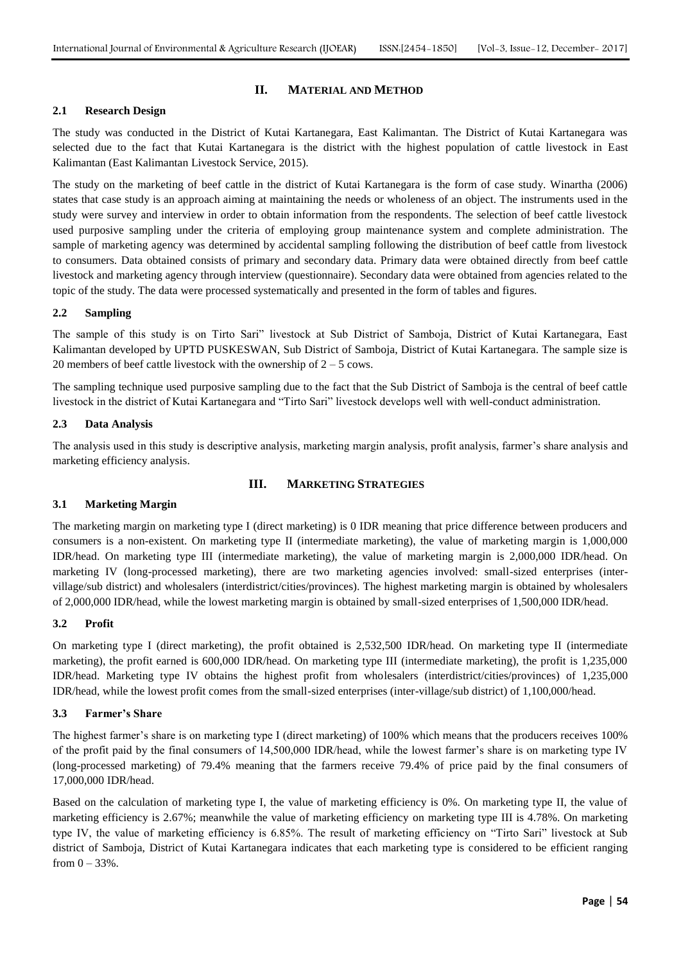#### **II. MATERIAL AND METHOD**

#### **2.1 Research Design**

The study was conducted in the District of Kutai Kartanegara, East Kalimantan. The District of Kutai Kartanegara was selected due to the fact that Kutai Kartanegara is the district with the highest population of cattle livestock in East Kalimantan (East Kalimantan Livestock Service, 2015).

The study on the marketing of beef cattle in the district of Kutai Kartanegara is the form of case study. Winartha (2006) states that case study is an approach aiming at maintaining the needs or wholeness of an object. The instruments used in the study were survey and interview in order to obtain information from the respondents. The selection of beef cattle livestock used purposive sampling under the criteria of employing group maintenance system and complete administration. The sample of marketing agency was determined by accidental sampling following the distribution of beef cattle from livestock to consumers. Data obtained consists of primary and secondary data. Primary data were obtained directly from beef cattle livestock and marketing agency through interview (questionnaire). Secondary data were obtained from agencies related to the topic of the study. The data were processed systematically and presented in the form of tables and figures.

### **2.2 Sampling**

The sample of this study is on Tirto Sari" livestock at Sub District of Samboja, District of Kutai Kartanegara, East Kalimantan developed by UPTD PUSKESWAN, Sub District of Samboja, District of Kutai Kartanegara. The sample size is 20 members of beef cattle livestock with the ownership of  $2 - 5$  cows.

The sampling technique used purposive sampling due to the fact that the Sub District of Samboja is the central of beef cattle livestock in the district of Kutai Kartanegara and "Tirto Sari" livestock develops well with well-conduct administration.

#### **2.3 Data Analysis**

The analysis used in this study is descriptive analysis, marketing margin analysis, profit analysis, farmer's share analysis and marketing efficiency analysis.

#### **III. MARKETING STRATEGIES**

#### **3.1 Marketing Margin**

The marketing margin on marketing type I (direct marketing) is 0 IDR meaning that price difference between producers and consumers is a non-existent. On marketing type II (intermediate marketing), the value of marketing margin is 1,000,000 IDR/head. On marketing type III (intermediate marketing), the value of marketing margin is 2,000,000 IDR/head. On marketing IV (long-processed marketing), there are two marketing agencies involved: small-sized enterprises (intervillage/sub district) and wholesalers (interdistrict/cities/provinces). The highest marketing margin is obtained by wholesalers of 2,000,000 IDR/head, while the lowest marketing margin is obtained by small-sized enterprises of 1,500,000 IDR/head.

#### **3.2 Profit**

On marketing type I (direct marketing), the profit obtained is 2,532,500 IDR/head. On marketing type II (intermediate marketing), the profit earned is 600,000 IDR/head. On marketing type III (intermediate marketing), the profit is 1,235,000 IDR/head. Marketing type IV obtains the highest profit from wholesalers (interdistrict/cities/provinces) of 1,235,000 IDR/head, while the lowest profit comes from the small-sized enterprises (inter-village/sub district) of 1,100,000/head.

#### **3.3 Farmer's Share**

The highest farmer's share is on marketing type I (direct marketing) of 100% which means that the producers receives 100% of the profit paid by the final consumers of 14,500,000 IDR/head, while the lowest farmer's share is on marketing type IV (long-processed marketing) of 79.4% meaning that the farmers receive 79.4% of price paid by the final consumers of 17,000,000 IDR/head.

Based on the calculation of marketing type I, the value of marketing efficiency is 0%. On marketing type II, the value of marketing efficiency is 2.67%; meanwhile the value of marketing efficiency on marketing type III is 4.78%. On marketing type IV, the value of marketing efficiency is 6.85%. The result of marketing efficiency on "Tirto Sari" livestock at Sub district of Samboja, District of Kutai Kartanegara indicates that each marketing type is considered to be efficient ranging from  $0 - 33%$ .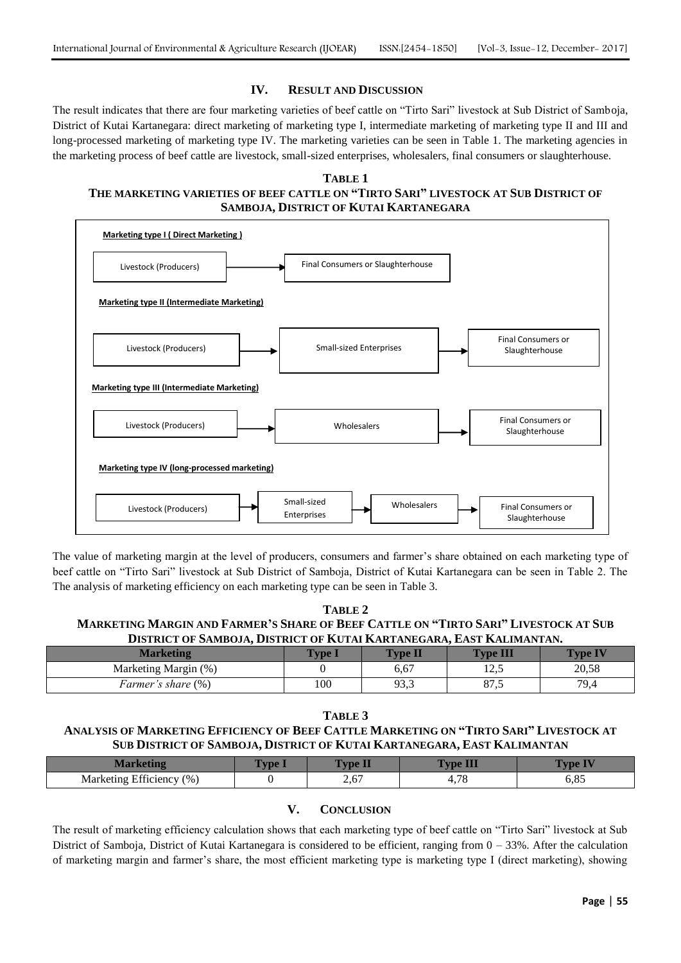#### **IV. RESULT AND DISCUSSION**

The result indicates that there are four marketing varieties of beef cattle on "Tirto Sari" livestock at Sub District of Samboja, District of Kutai Kartanegara: direct marketing of marketing type I, intermediate marketing of marketing type II and III and long-processed marketing of marketing type IV. The marketing varieties can be seen in Table 1. The marketing agencies in the marketing process of beef cattle are livestock, small-sized enterprises, wholesalers, final consumers or slaughterhouse.

#### **TABLE 1**

## **THE MARKETING VARIETIES OF BEEF CATTLE ON "TIRTO SARI" LIVESTOCK AT SUB DISTRICT OF SAMBOJA, DISTRICT OF KUTAI KARTANEGARA**



The value of marketing margin at the level of producers, consumers and farmer's share obtained on each marketing type of beef cattle on "Tirto Sari" livestock at Sub District of Samboja, District of Kutai Kartanegara can be seen in Table 2. The The analysis of marketing efficiency on each marketing type can be seen in Table 3.

| TABLE 2                                                                             |  |  |  |  |  |  |  |  |
|-------------------------------------------------------------------------------------|--|--|--|--|--|--|--|--|
| MARKETING MARGIN AND FARMER'S SHARE OF BEEF CATTLE ON "TIRTO SARI" LIVESTOCK AT SUB |  |  |  |  |  |  |  |  |
| DISTRICT OF SAMBOJA, DISTRICT OF KUTAI KARTANEGARA, EAST KALIMANTAN.                |  |  |  |  |  |  |  |  |
|                                                                                     |  |  |  |  |  |  |  |  |

| <b>Marketing</b>          | <b>VDe</b> | <b>Type L</b> | <b>Type III</b>          | <b>Type IV</b> |
|---------------------------|------------|---------------|--------------------------|----------------|
| Marketing Margin (%)      |            | 6,67          | 1 າ ເ<br>⊥∠…             | 20,58          |
| <i>Farmer's share</i> (%) | 100        | 93,3          | O <sub>7</sub><br>د. ، ه | 79,4           |

**TABLE 3**

## **ANALYSIS OF MARKETING EFFICIENCY OF BEEF CATTLE MARKETING ON "TIRTO SARI" LIVESTOCK AT SUB DISTRICT OF SAMBOJA, DISTRICT OF KUTAI KARTANEGARA, EAST KALIMANTAN**

| <b>Marketing</b>         | vpe 1 | $\overline{\phantom{a}}$<br><b>Vpe L</b> | <b>Expe 11</b>                     | $\mathbf{v}$ |
|--------------------------|-------|------------------------------------------|------------------------------------|--------------|
| Marketing Efficiency (%) | v     | $\epsilon$<br>2,01                       | $\overline{\phantom{0}}$<br>т, / О | 0,0J         |

## **V. CONCLUSION**

The result of marketing efficiency calculation shows that each marketing type of beef cattle on "Tirto Sari" livestock at Sub District of Samboja, District of Kutai Kartanegara is considered to be efficient, ranging from 0 – 33%. After the calculation of marketing margin and farmer's share, the most efficient marketing type is marketing type I (direct marketing), showing